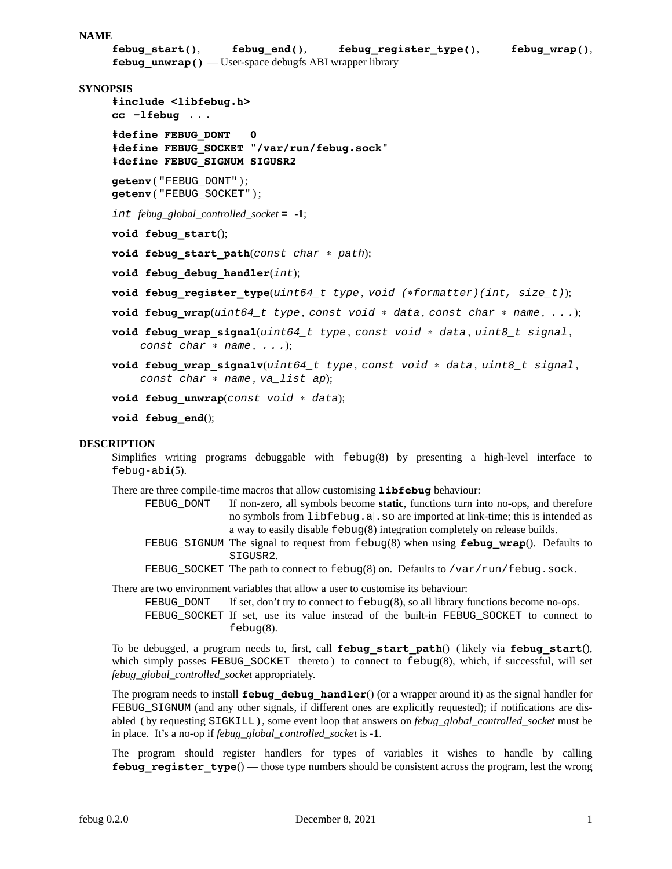```
NAME
```

```
febug_start(), febug_end(), febug_register_type(), febug_wrap(),
febug_unwrap() — User-space debugfs ABI wrapper library
```
# **SYNOPSIS**

```
#include <libfebug.h>
cc −lfebug ...
#define FEBUG_DONT 0
#define FEBUG_SOCKET "/var/run/febug.sock"
#define FEBUG_SIGNUM SIGUSR2
```
**getenv** ( "FEBUG\_DONT" ) ; **getenv** ( "FEBUG\_SOCKET" ) ;

*int febug\_global\_controlled\_socket* = **-1**;

**void febug\_start**();

**void febug\_start\_path**(*const char* ∗ *path*);

**void febug\_debug\_handler**(*int*);

- **void febug\_register\_type**(*uint64\_t type* , *void (*∗*formatter)(int, size\_t)*);
- **void febug\_wrap**(*uint64\_t type* , *const void* ∗ *data* , *const char* ∗ *name* , *...*);
- **void febug\_wrap\_signal**(*uint64\_t type* , *const void* ∗ *data* , *uint8\_t signal* , *const char* ∗ *name* , *...*);
- **void febug\_wrap\_signalv**(*uint64\_t type* , *const void* ∗ *data* , *uint8\_t signal* , *const char* ∗ *name* , *va\_list ap*);

**void febug\_unwrap**(*const void* ∗ *data*);

```
void febug_end();
```
#### **DESCRIPTION**

Simplifies writing programs debuggable with febug(8) by presenting a high-level interface to febug-abi(5).

There are three compile-time macros that allow customising **libfebug** behaviour:

- FEBUG\_DONT If non-zero, all symbols become **static**, functions turn into no-ops, and therefore no symbols from libfebug.a|.so are imported at link-time; this is intended as a way to easily disable febug(8) integration completely on release builds.
- FEBUG\_SIGNUM The signal to request from febug(8) when using **febug\_wrap**(). Defaults to SIGUSR2.
- FEBUG SOCKET The path to connect to  $febuq(8)$  on. Defaults to /var/run/febug.sock.

There are two environment variables that allow a user to customise its behaviour:

- FEBUG DONT If set, don't try to connect to  $f = b \log(8)$ , so all library functions become no-ops.
- FEBUG\_SOCKET If set, use its value instead of the built-in FEBUG\_SOCKET to connect to febug(8).

To be debugged, a program needs to, first, call **febug\_start\_path**() ( likely via **febug\_start**(), which simply passes FEBUG\_SOCKET thereto) to connect to febug(8), which, if successful, will set *febug\_global\_controlled\_socket* appropriately.

The program needs to install **febug\_debug\_handler**() (or a wrapper around it) as the signal handler for FEBUG\_SIGNUM (and any other signals, if different ones are explicitly requested); if notifications are disabled ( by requesting SIGKILL ) , some event loop that answers on *febug\_global\_controlled\_socket* must be in place. It's a no-op if *febug\_global\_controlled\_socket* is **-1**.

The program should register handlers for types of variables it wishes to handle by calling **febug\_register\_type**() — those type numbers should be consistent across the program, lest the wrong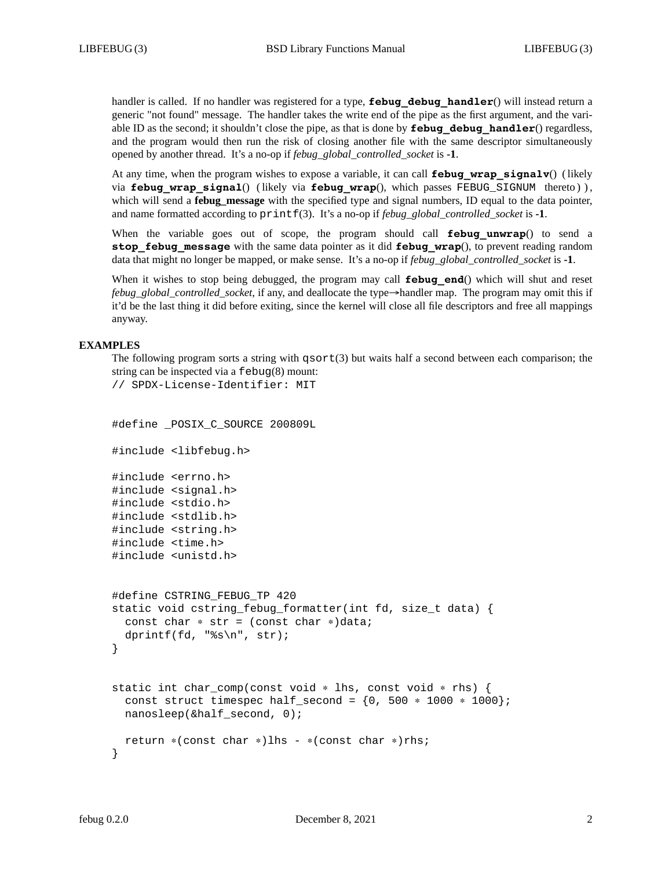handler is called. If no handler was registered for a type, **febug\_debug\_handler**() will instead return a generic "not found" message. The handler takes the write end of the pipe as the first argument, and the variable ID as the second; it shouldn't close the pipe, as that is done by **febug\_debug\_handler**() regardless, and the program would then run the risk of closing another file with the same descriptor simultaneously opened by another thread. It's a no-op if *febug\_global\_controlled\_socket* is **-1**.

At any time, when the program wishes to expose a variable, it can call **febug\_wrap\_signalv**() ( likely via **febug wrap signal**() ( likely via **febug\_wrap**(), which passes FEBUG\_SIGNUM thereto ) ) , which will send a **febug\_message** with the specified type and signal numbers, ID equal to the data pointer, and name formatted according to  $\text{printf}(3)$ . It's a no-op if *febug\_global\_controlled\_socket* is **-1**.

When the variable goes out of scope, the program should call **febug\_unwrap**() to send a **stop\_febug\_message** with the same data pointer as it did **febug\_wrap**(), to prevent reading random data that might no longer be mapped, or make sense. It's a no-op if *febug\_global\_controlled\_socket* is **-1**.

When it wishes to stop being debugged, the program may call **febug end**() which will shut and reset *febug\_global\_controlled\_socket*, if any, and deallocate the type→handler map. The program may omit this if it'd be the last thing it did before exiting, since the kernel will close all file descriptors and free all mappings anyway.

#### **EXAMPLES**

// SPDX-License-Identifier: MIT

The following program sorts a string with  $q\text{sort}(3)$  but waits half a second between each comparison; the string can be inspected via a febug(8) mount:

```
#define POSIX C SOURCE 200809L
#include <libfebug.h>
#include <errno.h>
#include <signal.h>
#include <stdio.h>
#include <stdlib.h>
#include <string.h>
#include <time.h>
#include <unistd.h>
#define CSTRING_FEBUG_TP 420
static void cstring_febug_formatter(int fd, size_t data) {
 const char * str = (const char *)data;
 dprintf(fd, "%s\n", str);
}
static int char_comp(const void ∗ lhs, const void ∗ rhs) {
 const struct timespec half_second = \{0, 500 * 1000 * 1000\};
 nanosleep(&half_second, 0);
 return ∗(const char ∗)lhs - ∗(const char ∗)rhs;
}
```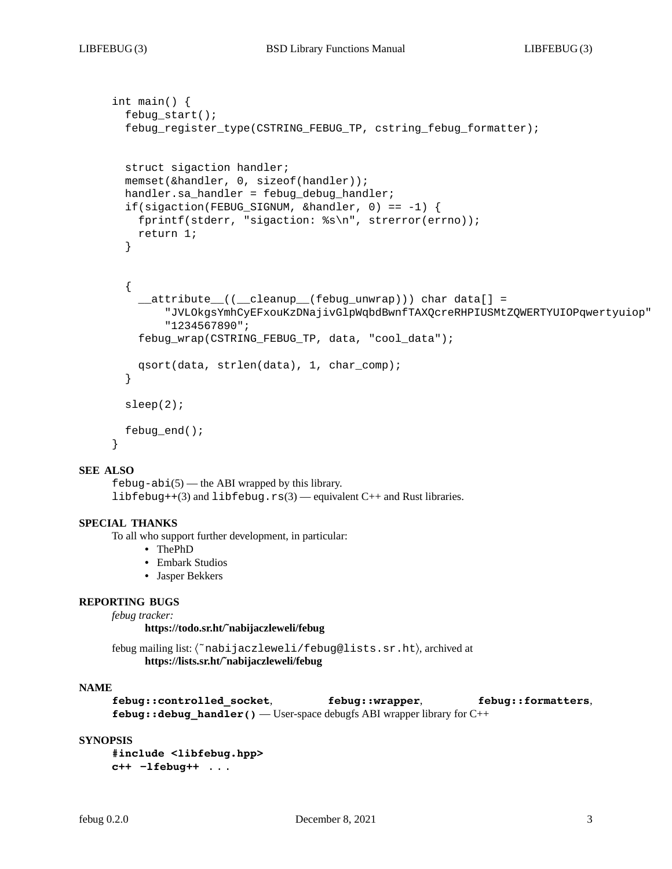```
int main() {
  febug_start();
  febug_register_type(CSTRING_FEBUG_TP, cstring_febug_formatter);
  struct sigaction handler;
 memset(&handler, 0, sizeof(handler));
 handler.sa handler = febug debug handler;
  if(sigaction(FEBUG_SIGNUM, &handler, 0) == -1) {
   fprintf(stderr, "sigaction: %s\n", strerror(errno));
   return 1;
  }
  {
    __attribute__((__cleanup__(febug_unwrap))) char data[] =
        "JVLOkgsYmhCyEFxouKzDNajivGlpWqbdBwnfTAXQcreRHPIUSMtZQWERTYUIOPqwertyuiop"
        "1234567890";
    febug_wrap(CSTRING_FEBUG_TP, data, "cool_data");
   qsort(data, strlen(data), 1, char_comp);
  }
 sleep(2);
 febug end();
}
```
# **SEE ALSO**

 $febug-abi(5)$  — the ABI wrapped by this library. libfebug++(3) and libfebug.rs(3) — equivalent  $C++$  and Rust libraries.

#### **SPECIAL THANKS**

To all who support further development, in particular:

- **•** ThePhD
- **•** Embark Studios
- **•** Jasper Bekkers

#### **REPORTING BUGS**

*febug tracker:*

**https://todo.sr.ht/˜nabijaczleweli/febug**

febug mailing list: 〈˜nabijaczleweli/febug@lists.sr.ht〉, archived at **https://lists.sr.ht/˜nabijaczleweli/febug**

# **NAME**

```
febug::controlled_socket, febug::wrapper, febug::formatters,
febug:: debug_handler() — User-space debugfs ABI wrapper library for C++
```
#### **SYNOPSIS**

**#include <libfebug.hpp> c++ −lfebug++** ...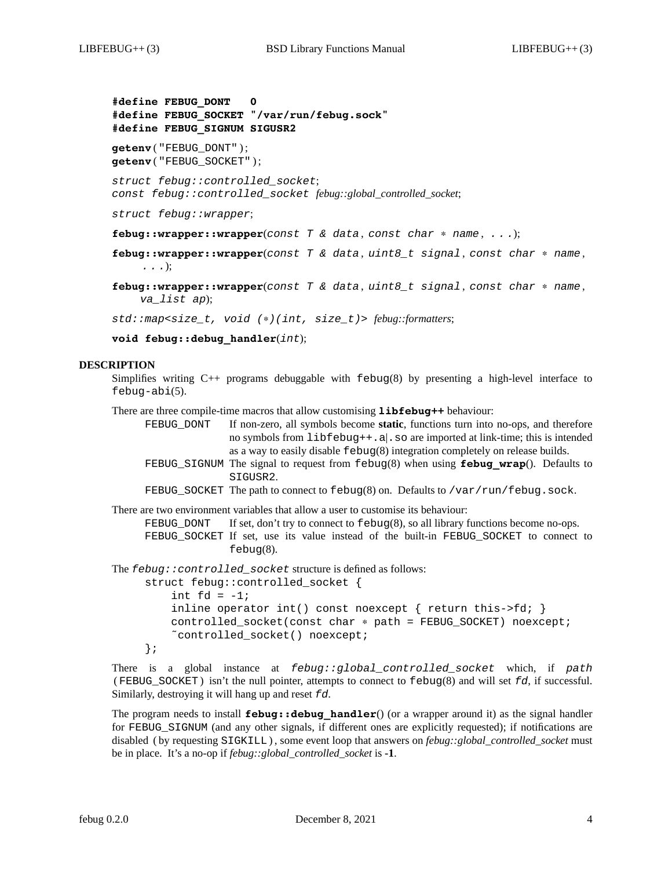**#define FEBUG\_DONT 0 #define FEBUG\_SOCKET "/var/run/febug.sock" #define FEBUG\_SIGNUM SIGUSR2 getenv** ( "FEBUG\_DONT" ) ; **getenv** ( "FEBUG\_SOCKET" ) ; *struct febug::controlled\_socket*; *const febug::controlled\_socket febug::global\_controlled\_socket*; *struct febug::wrapper*;

**febug::wrapper::wrapper**(*const T & data* , *const char* ∗ *name* , *...*);

**febug::wrapper::wrapper**(*const T & data* , *uint8\_t signal* , *const char* ∗ *name* , *...*);

**febug::wrapper::wrapper**(*const T & data* , *uint8\_t signal* , *const char* ∗ *name* , *va\_list ap*);

*std::map<size\_t, void (*∗*)(int, size\_t)> febug::formatters*;

**void febug::debug\_handler**(*int*);

#### **DESCRIPTION**

Simplifies writing  $C_{++}$  programs debuggable with  $f = b \log(8)$  by presenting a high-level interface to febug-abi(5).

There are three compile-time macros that allow customising **libfebug++** behaviour:

FEBUG\_DONT If non-zero, all symbols become **static**, functions turn into no-ops, and therefore no symbols from libfebug++.a|.so are imported at link-time; this is intended as a way to easily disable febug(8) integration completely on release builds. FEBUG\_SIGNUM The signal to request from febug(8) when using **febug\_wrap**(). Defaults to SIGUSR2.

FEBUG SOCKET The path to connect to  $febuq(8)$  on. Defaults to /var/run/febug.sock.

```
There are two environment variables that allow a user to customise its behaviour:
```
FEBUG\_DONT If set, don't try to connect to  $febug(8)$ , so all library functions become no-ops. FEBUG\_SOCKET If set, use its value instead of the built-in FEBUG\_SOCKET to connect to febug(8).

The *febug::controlled\_socket* structure is defined as follows:

```
struct febug:: controlled socket {
    int fd = -1;
    inline operator int() const noexcept { return this->fd; }
    controlled_socket(const char ∗ path = FEBUG_SOCKET) noexcept;
    ˜controlled_socket() noexcept;
};
```
There is a global instance at *febug::global\_controlled\_socket* which, if *path* ( FEBUG\_SOCKET ) isn't the null pointer, attempts to connect to febug(8) and will set *fd*, if successful. Similarly, destroying it will hang up and reset *fd*.

The program needs to install **febug::debug handler**() (or a wrapper around it) as the signal handler for FEBUG\_SIGNUM (and any other signals, if different ones are explicitly requested); if notifications are disabled ( by requesting SIGKILL ) , some event loop that answers on *febug::global\_controlled\_socket* must be in place. It's a no-op if *febug::global\_controlled\_socket* is **-1**.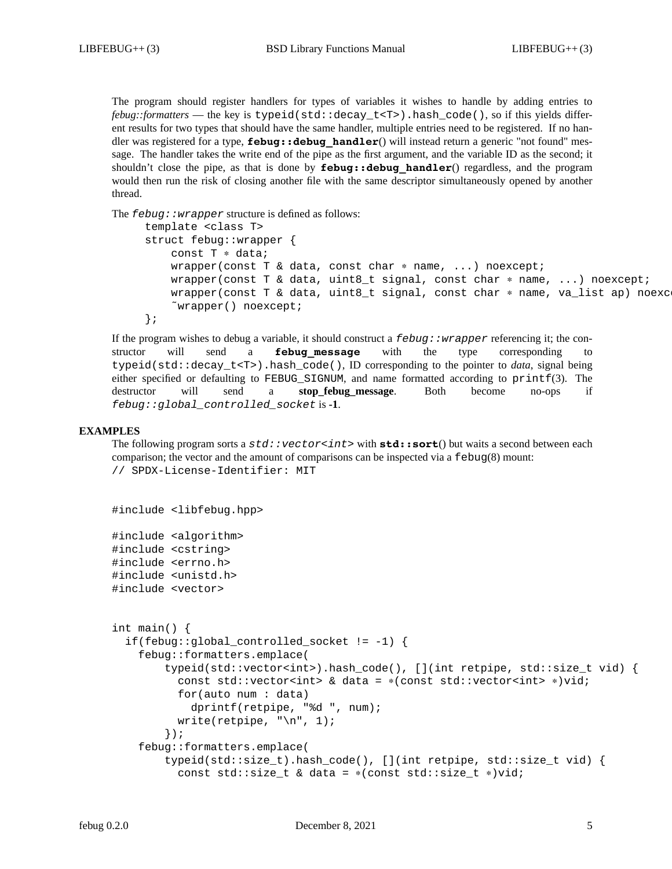The program should register handlers for types of variables it wishes to handle by adding entries to *febug::formatters* — the key is typeid(std::decay\_t<T>).hash\_code(), so if this yields different results for two types that should have the same handler, multiple entries need to be registered. If no handler was registered for a type, **febug::debug\_handler**() will instead return a generic "not found" message. The handler takes the write end of the pipe as the first argument, and the variable ID as the second; it shouldn't close the pipe, as that is done by **febug::debug\_handler**() regardless, and the program would then run the risk of closing another file with the same descriptor simultaneously opened by another thread.

The *febug::wrapper* structure is defined as follows:

```
template <class T>
struct febug::wrapper {
    const T ∗ data;
    wrapper(const T & data, const char * name, ...) noexcept;
    wrapper(const T & data, uint8_t signal, const char ∗ name, ...) noexcept;
    wrapper(const T & data, uint8_t signal, const char * name, va_list ap) noexc
    ˜wrapper() noexcept;
};
```
If the program wishes to debug a variable, it should construct a *febug::wrapper* referencing it; the constructor will send a **febug\_message** with the type corresponding to typeid(std::decay\_t<T>).hash\_code(), ID corresponding to the pointer to *data*, signal being either specified or defaulting to FEBUG\_SIGNUM, and name formatted according to printf(3). The destructor will send a **stop\_febug\_message**. Both become no-ops if *febug::global\_controlled\_socket* is **-1**.

#### **EXAMPLES**

The following program sorts a *std::vector<int>* with **std::sort**() but waits a second between each comparison; the vector and the amount of comparisons can be inspected via a febug(8) mount: // SPDX-License-Identifier: MIT

#include <libfebug.hpp>

#include <algorithm> #include <cstring> #include <errno.h> #include <unistd.h> #include <vector>

```
int main() {
  if(febug::global_controlled_socket != -1) {
    febug::formatters.emplace(
        typeid(std::vector<int>).hash_code(), [](int retpipe, std::size_t vid) {
          const std::vector<int> & data = ∗(const std::vector<int> ∗)vid;
          for(auto num : data)
            dprintf(retpipe, "%d ", num);
          write(retpipe, "\n\times 1);
        });
    febug::formatters.emplace(
        typeid(std::size_t).hash_code(), [](int retpipe, std::size_t vid) {
          const std::size_t & data = ∗(const std::size_t ∗)vid;
```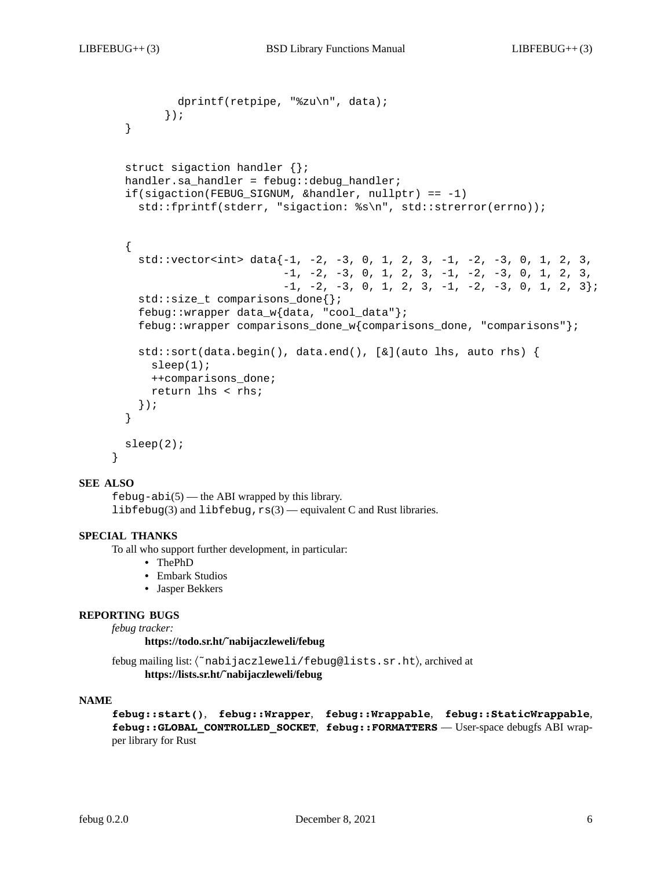```
dprintf(retpipe, "%zu\n", data);
      });
}
struct sigaction handler {};
handler.sa_handler = febug::debug_handler;
if(sigaction(FEBUG_SIGNUM, &handler, nullptr) == -1)
  std::fprintf(stderr, "sigaction: %s\n", std::strerror(errno));
{
  std::vector<sub>int</sub> > data{-1, -2, -3, 0, 1, 2, 3, -1, -2, -3, 0, 1, 2, 3,-1, -2, -3, 0, 1, 2, 3, -1, -2, -3, 0, 1, 2, 3,
                         -1, -2, -3, 0, 1, 2, 3, -1, -2, -3, 0, 1, 2, 3};
  std::size_t comparisons_done{};
  febug::wrapper data_w{data, "cool_data"};
  febug::wrapper comparisons_done_w{comparisons_done, "comparisons"};
  std::sort(data.begin(), data.end(), [&](auto lhs, auto rhs) {
    sleep(1);++comparisons_done;
    return lhs < rhs;
  });
}
sleep(2);
```
#### **SEE ALSO**

}

 $febug-abi(5)$  — the ABI wrapped by this library. libfebug(3) and libfebug, $r s(3)$  — equivalent C and Rust libraries.

# **SPECIAL THANKS**

To all who support further development, in particular:

- **•** ThePhD
- **•** Embark Studios
- **•** Jasper Bekkers

#### **REPORTING BUGS**

*febug tracker:*

**https://todo.sr.ht/˜nabijaczleweli/febug**

febug mailing list: 〈˜nabijaczleweli/febug@lists.sr.ht〉, archived at **https://lists.sr.ht/˜nabijaczleweli/febug**

#### **NAME**

**febug::start()**, **febug::Wrapper**, **febug::Wrappable**, **febug::StaticWrappable**, **febug::GLOBAL\_CONTROLLED\_SOCKET**, **febug::FORMATTERS** — User-space debugfs ABI wrapper library for Rust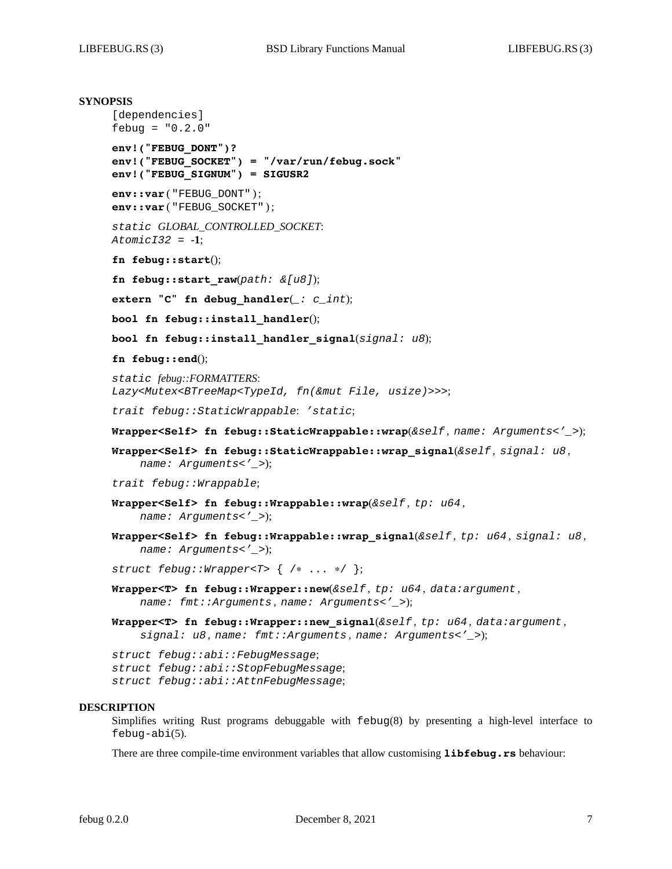```
SYNOPSIS
     [dependencies]
     febug = "0.2.0"
     env!("FEBUG_DONT")?
     env!("FEBUG_SOCKET") = "/var/run/febug.sock"
     env!("FEBUG_SIGNUM") = SIGUSR2
     env::var ( "FEBUG_DONT" ) ;
     env::var ( "FEBUG_SOCKET" ) ;
     static GLOBAL_CONTROLLED_SOCKET:
```

```
AtomicI32 = -1;
```

```
fn febug::start();
```
**fn febug::start\_raw**(*path: &[u8]*);

```
extern "C" fn debug_handler(_: c_int);
```
**bool fn febug::install\_handler**();

**bool fn febug::install\_handler\_signal**(*signal: u8*);

**fn febug::end**();

*static febug::FORMATTERS*: *Lazy<Mutex<BTreeMap<TypeId, fn(&mut File, usize)>>>*;

*trait febug::StaticWrappable*: *'static*;

**Wrapper<Self> fn febug::StaticWrappable::wrap**(*&self* , *name: Arguments<'\_>*);

```
Wrapper<Self> fn febug::StaticWrappable::wrap_signal(&self , signal: u8 ,
    name: Arguments<'_>);
```
*trait febug::Wrappable*;

- **Wrapper<Self> fn febug::Wrappable::wrap**(*&self* , *tp: u64* , *name: Arguments<'\_>*);
- **Wrapper<Self> fn febug::Wrappable::wrap\_signal**(*&self* , *tp: u64* , *signal: u8* , *name: Arguments<'\_>*);

*struct febug::Wrapper<T>* { /∗ ... ∗/ };

- **Wrapper<T> fn febug::Wrapper::new**(*&self* , *tp: u64* , *data:argument* , *name: fmt::Arguments* , *name: Arguments<'\_>*);
- **Wrapper<T> fn febug::Wrapper::new\_signal**(*&self* , *tp: u64* , *data:argument* , *signal: u8* , *name: fmt::Arguments* , *name: Arguments<'\_>*);

*struct febug::abi::FebugMessage*; *struct febug::abi::StopFebugMessage*; *struct febug::abi::AttnFebugMessage*;

#### **DESCRIPTION**

Simplifies writing Rust programs debuggable with  $f = b \log(8)$  by presenting a high-level interface to febug-abi(5).

There are three compile-time environment variables that allow customising **libfebug.rs** behaviour: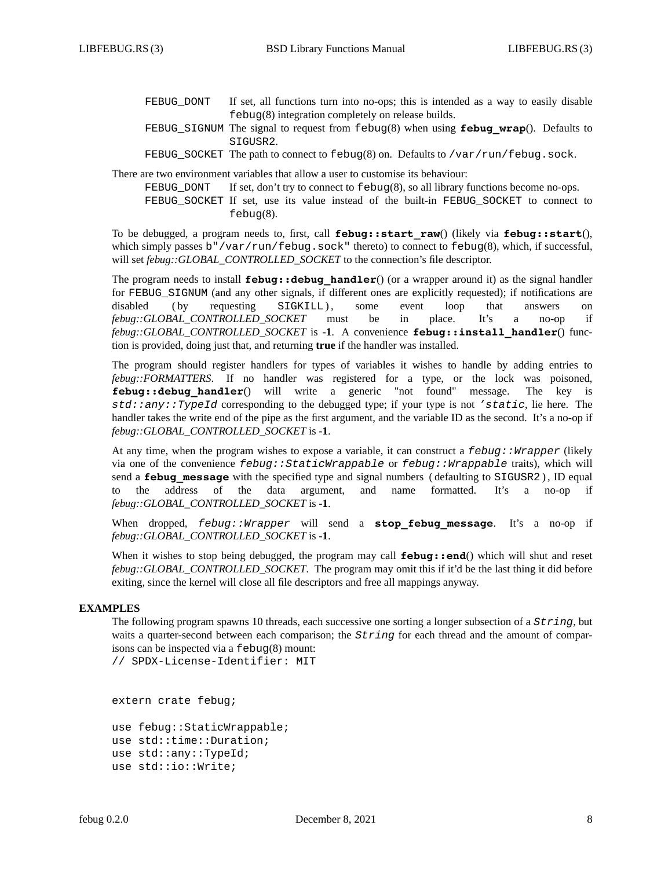| FEBUG DONT | If set, all functions turn into no-ops; this is intended as a way to easily disable             |
|------------|-------------------------------------------------------------------------------------------------|
|            | $febug(8)$ integration completely on release builds.                                            |
|            | FEBUG SIGNUM The signal to request from $febuq(8)$ when using <b>febug wrap</b> (). Defaults to |
|            | SIGUSR2.                                                                                        |
|            | FEBUG_SOCKET The path to connect to $febug(8)$ on. Defaults to /var/run/febug.sock.             |

There are two environment variables that allow a user to customise its behaviour:

FEBUG\_DONT If set, don't try to connect to  $febug(8)$ , so all library functions become no-ops. FEBUG SOCKET If set, use its value instead of the built-in FEBUG SOCKET to connect to febug(8).

To be debugged, a program needs to, first, call **febug::start\_raw**() (likely via **febug::start**(), which simply passes b"/var/run/febug.sock" thereto) to connect to febug(8), which, if successful, will set *febug::GLOBAL\_CONTROLLED\_SOCKET* to the connection's file descriptor.

The program needs to install **febug::debug handler**() (or a wrapper around it) as the signal handler for FEBUG\_SIGNUM (and any other signals, if different ones are explicitly requested); if notifications are disabled ( by requesting SIGKILL ) , some event loop that answers on *febug::GLOBAL\_CONTROLLED\_SOCKET* must be in place. It's a no-op if *febug::GLOBAL\_CONTROLLED\_SOCKET* is **-1**. A convenience **febug::install\_handler**() function is provided, doing just that, and returning **true** if the handler was installed.

The program should register handlers for types of variables it wishes to handle by adding entries to *febug::FORMATTERS*. If no handler was registered for a type, or the lock was poisoned, **febug::debug\_handler**() will write a generic "not found" message. The key is *std::any::TypeId* corresponding to the debugged type; if your type is not *'static*, lie here. The handler takes the write end of the pipe as the first argument, and the variable ID as the second. It's a no-op if *febug::GLOBAL\_CONTROLLED\_SOCKET* is **-1**.

At any time, when the program wishes to expose a variable, it can construct a *febug::Wrapper* (likely via one of the convenience *febug::StaticWrappable* or *febug::Wrappable* traits), which will send a **febug\_message** with the specified type and signal numbers (defaulting to SIGUSR2), ID equal to the address of the data argument, and name formatted. It's a no-op if *febug::GLOBAL\_CONTROLLED\_SOCKET* is **-1**.

When dropped, *febug::Wrapper* will send a **stop\_febug\_message**. It's a no-op if *febug::GLOBAL\_CONTROLLED\_SOCKET* is **-1**.

When it wishes to stop being debugged, the program may call **febug::end**() which will shut and reset *febug::GLOBAL\_CONTROLLED\_SOCKET*. The program may omit this if it'd be the last thing it did before exiting, since the kernel will close all file descriptors and free all mappings anyway.

# **EXAMPLES**

The following program spawns 10 threads, each successive one sorting a longer subsection of a *String*, but waits a quarter-second between each comparison; the *String* for each thread and the amount of comparisons can be inspected via a febug(8) mount:

// SPDX-License-Identifier: MIT

extern crate febug;

```
use febug::StaticWrappable;
use std::time::Duration;
use std::any::TypeId;
use std::io::Write;
```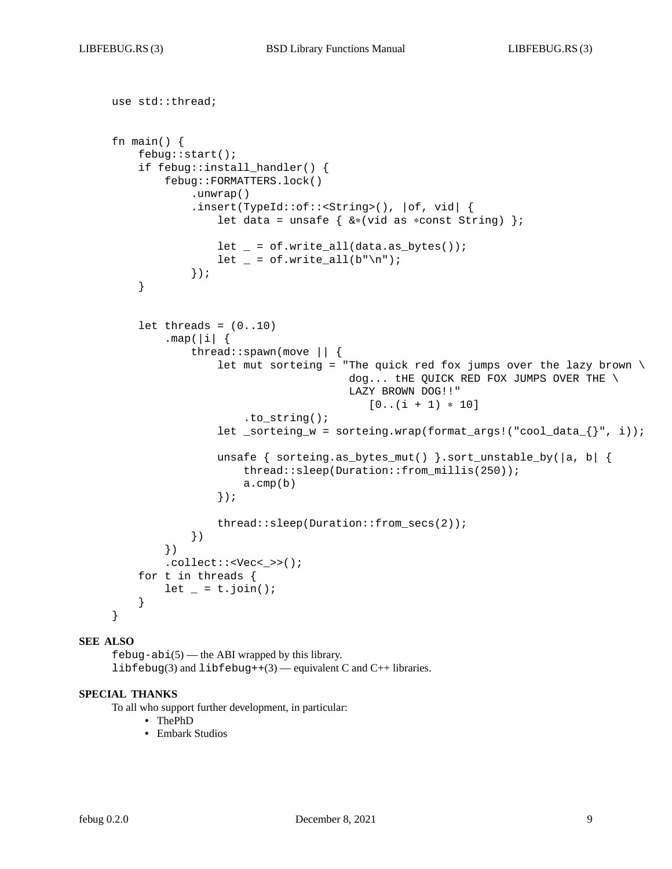use std::thread;

```
fn main() {
   febug::start();
    if febug::install_handler() {
        febug::FORMATTERS.lock()
            .unwrap()
            .insert(TypeId::of::<String>(), |of, vid| {
                let data = unsafe { &∗(vid as ∗const String) };
                let = of.write_all(data.as_bytes());
                let = of.write_all(b"\n",\n});
    }
   let threads = (0..10).map(|i|thread::spawn(move || {
                let mut sorteing = "The quick red fox jumps over the lazy brown \setminusdog... the QUICK RED FOX JUMPS OVER THE \
                                    LAZY BROWN DOG!!"
                                       [0..(i + 1) * 10].to string();
                let _sorteing_w = sorteing.wrap(format_args!("cool_data_\{\}", i));
                unsafe { sorteing.as_bytes_mut() }.sort_unstable_by(|a, b| {
                    thread::sleep(Duration::from_millis(250));
                    a.cmp(b)
                });
                thread::sleep(Duration::from_secs(2));
            })
        })
        .collect::<Vec<_>>();
   for t in threads {
       let = t.join();}
}
```
# **SEE ALSO**

 $febug-abi(5)$  — the ABI wrapped by this library. libfebug(3) and libfebug++(3) — equivalent C and C++ libraries.

# **SPECIAL THANKS**

To all who support further development, in particular:

- **•** ThePhD
- **•** Embark Studios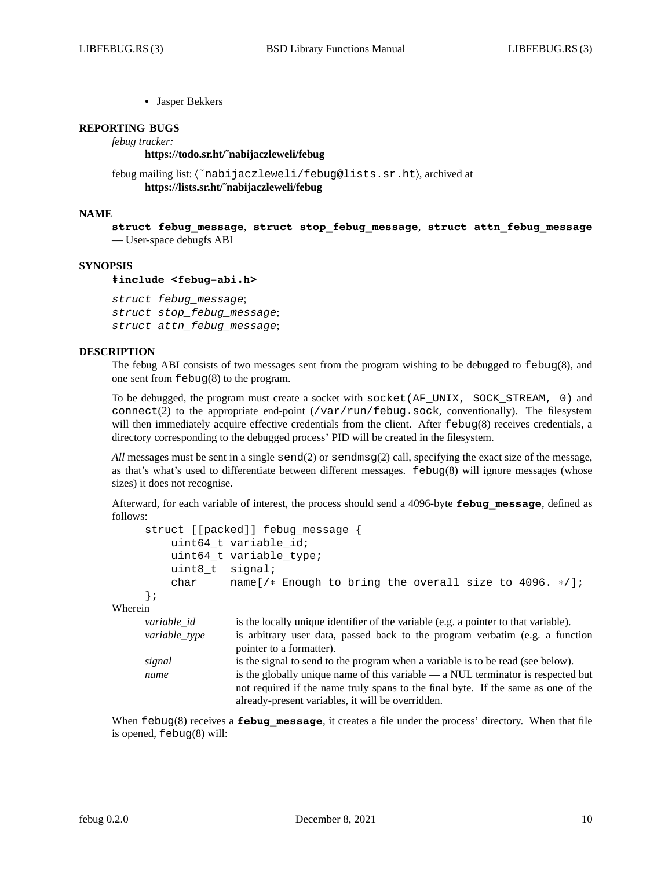**•** Jasper Bekkers

# **REPORTING BUGS**

*febug tracker:*

#### **https://todo.sr.ht/˜nabijaczleweli/febug**

```
febug mailing list: 〈˜nabijaczleweli/febug@lists.sr.ht〉, archived at
      https://lists.sr.ht/˜nabijaczleweli/febug
```
#### **NAME**

**struct febug\_message**, **struct stop\_febug\_message**, **struct attn\_febug\_message** — User-space debugfs ABI

#### **SYNOPSIS**

#### **#include <febug-abi.h>**

*struct febug\_message*; *struct stop\_febug\_message*; *struct attn\_febug\_message*;

# **DESCRIPTION**

The febug ABI consists of two messages sent from the program wishing to be debugged to febug(8), and one sent from febug(8) to the program.

To be debugged, the program must create a socket with socket(AF\_UNIX, SOCK\_STREAM, 0) and connect(2) to the appropriate end-point  $(\sqrt{var/run/febuq} \cdot \text{sock},$  conventionally). The filesystem will then immediately acquire effective credentials from the client. After febug(8) receives credentials, a directory corresponding to the debugged process' PID will be created in the filesystem.

*All* messages must be sent in a single send(2) or sendmsg(2) call, specifying the exact size of the message, as that's what's used to differentiate between different messages. febug(8) will ignore messages (whose sizes) it does not recognise.

Afterward, for each variable of interest, the process should send a 4096-byte **febug\_message**, defined as follows:

```
struct [[packed]] febug message {
           uint64_t variable_id;
           uint64_t variable_type;
           uint8 t signal;
           char name[/∗ Enough to bring the overall size to 4096. ∗/];
      };
Wherein
      variable_id is the locally unique identifier of the variable (e.g. a pointer to that variable).
      variable_type is arbitrary user data, passed back to the program verbatim (e.g. a function
                       pointer to a formatter).
      signal is the signal to send to the program when a variable is to be read (see below).
      name is the globally unique name of this variable — a NUL terminator is respected but
                       not required if the name truly spans to the final byte. If the same as one of the
                       already-present variables, it will be overridden.
```
When febug(8) receives a **febug message**, it creates a file under the process' directory. When that file is opened, febug(8) will: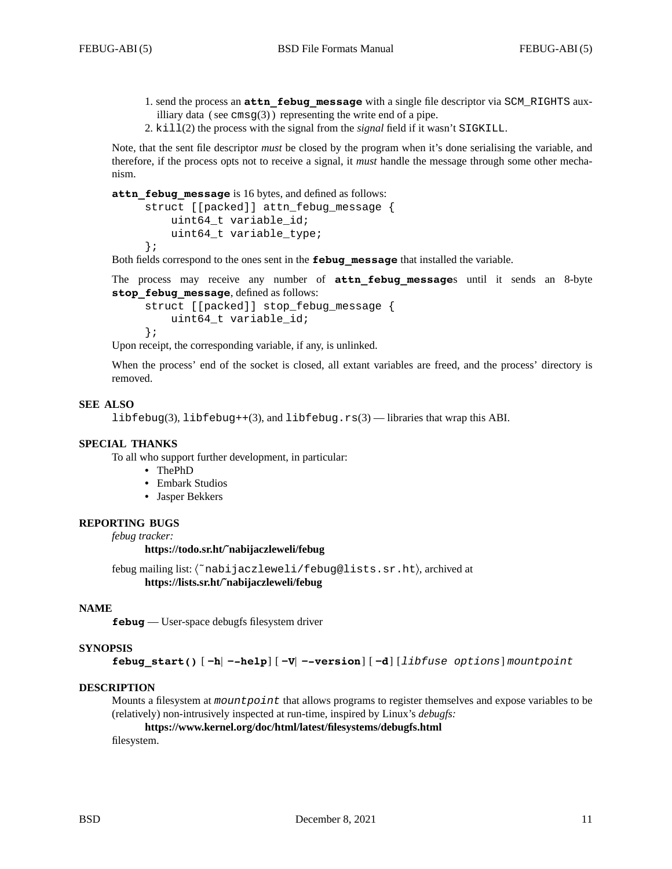- 1. send the process an **attn\_febug\_message** with a single file descriptor via SCM\_RIGHTS auxilliary data (see  $\text{cmsg}(3)$ ) representing the write end of a pipe.
- 2. kill(2) the process with the signal from the *signal* field if it wasn't SIGKILL.

Note, that the sent file descriptor *must* be closed by the program when it's done serialising the variable, and therefore, if the process opts not to receive a signal, it *must* handle the message through some other mechanism.

**attn\_febug\_message** is 16 bytes, and defined as follows:

```
struct [[packed]] attn febug message {
    uint64_t variable_id;
    uint64_t variable_type;
};
```
Both fields correspond to the ones sent in the **febug\_message** that installed the variable.

The process may receive any number of **attn\_febug\_message**s until it sends an 8-byte stop febug message, defined as follows:

```
struct [[packed]] stop_febug_message {
    uint64_t variable_id;
};
```
Upon receipt, the corresponding variable, if any, is unlinked.

When the process' end of the socket is closed, all extant variables are freed, and the process' directory is removed.

# **SEE ALSO**

libfebug(3), libfebug++(3), and libfebug.rs(3) — libraries that wrap this ABI.

#### **SPECIAL THANKS**

To all who support further development, in particular:

- **•** ThePhD
- **•** Embark Studios
- **•** Jasper Bekkers

#### **REPORTING BUGS**

*febug tracker:*

#### **https://todo.sr.ht/˜nabijaczleweli/febug**

febug mailing list: 〈˜nabijaczleweli/febug@lists.sr.ht〉, archived at **https://lists.sr.ht/˜nabijaczleweli/febug**

### **NAME**

**febug** — User-space debugfs filesystem driver

#### **SYNOPSIS**

**febug\_start()** [ **−h**| **−-help**] [ **−V**| **−-version**] [ **−d**] [*libfuse options*] *mountpoint*

# **DESCRIPTION**

Mounts a filesystem at *mountpoint* that allows programs to register themselves and expose variables to be (relatively) non-intrusively inspected at run-time, inspired by Linux's *debugfs:*

**https://www.kernel.org/doc/html/latest/filesystems/debugfs.html**

filesystem.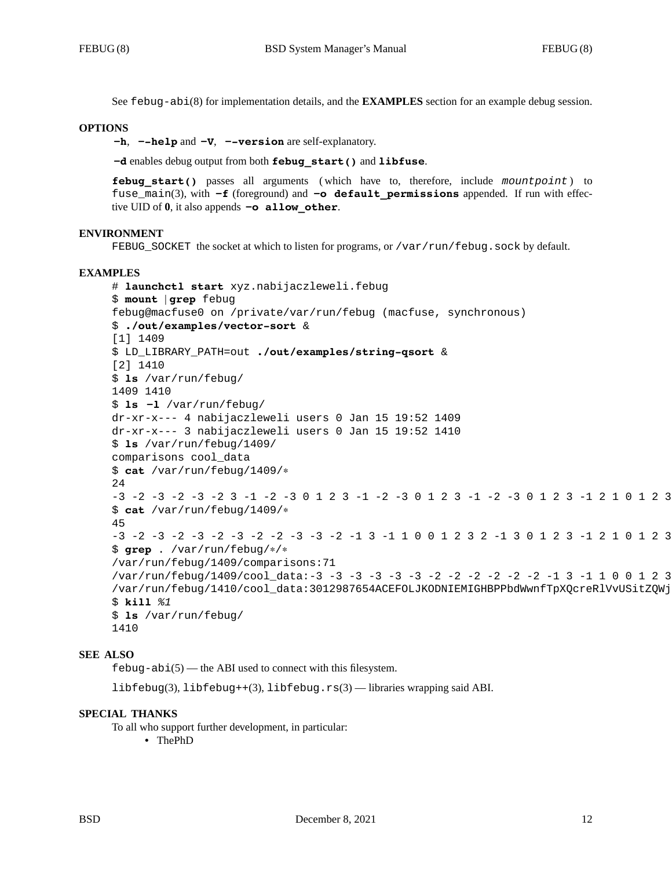See febug-abi(8) for implementation details, and the **EXAMPLES** section for an example debug session.

#### **OPTIONS**

**−h**, **−-help** and **−V**, **−-version** are self-explanatory.

**−d** enables debug output from both **febug\_start()** and **libfuse**.

**febug\_start()** passes all arguments ( which have to, therefore, include *mountpoint* ) to fuse\_main(3), with **−f** (foreground) and **−o default\_permissions** appended. If run with effective UID of **0**, it also appends **−o allow\_other**.

#### **ENVIRONMENT**

FEBUG\_SOCKET the socket at which to listen for programs, or /var/run/febug.sock by default.

#### **EXAMPLES**

```
# launchctl start xyz.nabijaczleweli.febug
$ mount | grep febug
febug@macfuse0 on /private/var/run/febug (macfuse, synchronous)
$ ./out/examples/vector-sort &
[1] 1409
$ LD_LIBRARY_PATH=out ./out/examples/string-qsort &
[2] 1410
$ ls /var/run/febug/
1409 1410
$ ls −l /var/run/febug/
dr-xr-x--- 4 nabijaczleweli users 0 Jan 15 19:52 1409
dr-xr-x--- 3 nabijaczleweli users 0 Jan 15 19:52 1410
$ ls /var/run/febug/1409/
comparisons cool_data
$ cat /var/run/febug/1409/∗
24
-3 -2 -3 -2 -3 -2 3 -1 -2 -3 0 1 2 3 -1 -2 -3 0 1 2 3 -1 -2 -3 0 1 2 3 -1 2 1 0 1 2 3
$ cat /var/run/febug/1409/∗
45
-3 -2 -3 -2 -3 -2 -3 -2 -2 -3 -3 -2 -1 3 -1 1 0 0 1 2 3 2 -1 3 0 1 2 3 -1 2 1 0 1 2 3
$ grep . /var/run/febug/∗/∗
/var/run/febug/1409/comparisons:71
/var/run/febug/1409/cool_data:-3 -3 -3 -3 -3 -3 -2 -2 -2 -2 -2 -2 -1 3 -1 1 0 0 1 2 3
/var/run/febug/1410/cool_data:3012987654ACEFOLJKODNIEMIGHBPPbdWwnfTpXQcreRlVvUSitZQWj
$ kill %1
$ ls /var/run/febug/
1410
```
#### **SEE ALSO**

 $febug-abi(5)$  — the ABI used to connect with this filesystem.

libfebug(3), libfebug++(3), libfebug.rs(3) — libraries wrapping said ABI.

#### **SPECIAL THANKS**

To all who support further development, in particular:

**•** ThePhD